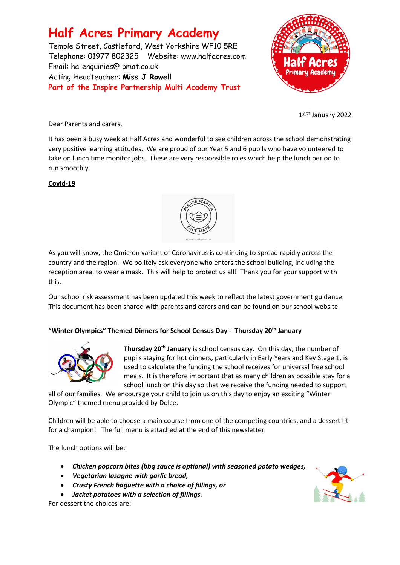### **Half Acres Primary Academy**

Temple Street, Castleford, West Yorkshire WF10 5RE Telephone: 01977 802325 Website: [www.halfacres.com](http://www.halfacres.com/) Email: ha-enquiries@ipmat.co.uk Acting Headteacher: **Miss J Rowell Part of the Inspire Partnership Multi Academy Trust**



14th January 2022

Dear Parents and carers,

It has been a busy week at Half Acres and wonderful to see children across the school demonstrating very positive learning attitudes. We are proud of our Year 5 and 6 pupils who have volunteered to take on lunch time monitor jobs. These are very responsible roles which help the lunch period to run smoothly.

#### **Covid-19**



As you will know, the Omicron variant of Coronavirus is continuing to spread rapidly across the country and the region. We politely ask everyone who enters the school building, including the reception area, to wear a mask. This will help to protect us all! Thank you for your support with this.

Our school risk assessment has been updated this week to reflect the latest government guidance. This document has been shared with parents and carers and can be found on our school website.

#### **"Winter Olympics" Themed Dinners for School Census Day - Thursday 20th January**



**Thursday 20th January** is school census day. On this day, the number of pupils staying for hot dinners, particularly in Early Years and Key Stage 1, is used to calculate the funding the school receives for universal free school meals. It is therefore important that as many children as possible stay for a school lunch on this day so that we receive the funding needed to support

all of our families. We encourage your child to join us on this day to enjoy an exciting "Winter Olympic" themed menu provided by Dolce.

Children will be able to choose a main course from one of the competing countries, and a dessert fit for a champion! The full menu is attached at the end of this newsletter.

The lunch options will be:

- *Chicken popcorn bites (bbq sauce is optional) with seasoned potato wedges,*
- *Vegetarian lasagne with garlic bread,*
- *Crusty French baguette with a choice of fillings, or*
- *Jacket potatoes with a selection of fillings.*

For dessert the choices are:

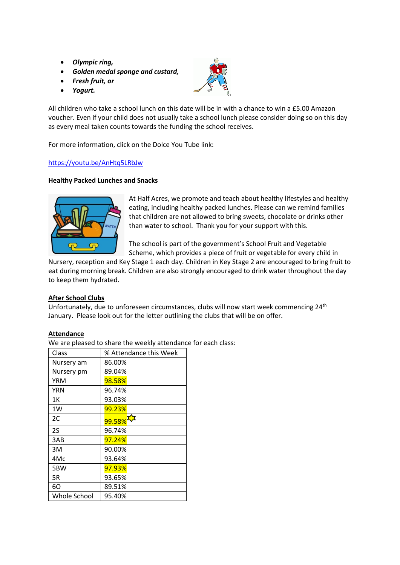- *Olympic ring,*
- *Golden medal sponge and custard,*
- *Fresh fruit, or*
- *Yogurt.*



All children who take a school lunch on this date will be in with a chance to win a £5.00 Amazon voucher. Even if your child does not usually take a school lunch please consider doing so on this day as every meal taken counts towards the funding the school receives.

For more information, click on the Dolce You Tube link:

#### <https://youtu.be/AnHtq5LRbJw>

#### **Healthy Packed Lunches and Snacks**



At Half Acres, we promote and teach about healthy lifestyles and healthy eating, including healthy packed lunches. Please can we remind families that children are not allowed to bring sweets, chocolate or drinks other than water to school. Thank you for your support with this.

The school is part of the government's School Fruit and Vegetable Scheme, which provides a piece of fruit or vegetable for every child in

Nursery, reception and Key Stage 1 each day. Children in Key Stage 2 are encouraged to bring fruit to eat during morning break. Children are also strongly encouraged to drink water throughout the day to keep them hydrated.

#### **After School Clubs**

Unfortunately, due to unforeseen circumstances, clubs will now start week commencing 24<sup>th</sup> January. Please look out for the letter outlining the clubs that will be on offer.

#### **Attendance**

We are pleased to share the weekly attendance for each class:

| Class        | % Attendance this Week |
|--------------|------------------------|
| Nursery am   | 86.00%                 |
| Nursery pm   | 89.04%                 |
| YRM          | 98.58%                 |
| YRN          | 96.74%                 |
| 1Κ           | 93.03%                 |
| 1W           | 99.23%                 |
| 2C           | 99.58%                 |
| 2S           | 96.74%                 |
| 3AB          | 97.24%                 |
| 3M           | 90.00%                 |
| 4Mc          | 93.64%                 |
| 5BW          | 97.93%                 |
| 5R           | 93.65%                 |
| 60           | 89.51%                 |
| Whole School | 95.40%                 |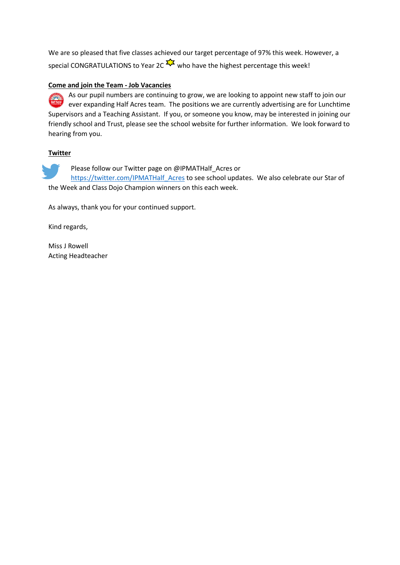We are so pleased that five classes achieved our target percentage of 97% this week. However, a special CONGRATULATIONS to Year 2C  $\frac{1}{2}$  who have the highest percentage this week!

#### **Come and join the Team - Job Vacancies**

As our pupil numbers are continuing to grow, we are looking to appoint new staff to join our ever expanding Half Acres team. The positions we are currently advertising are for Lunchtime Supervisors and a Teaching Assistant. If you, or someone you know, may be interested in joining our friendly school and Trust, please see the school website for further information. We look forward to hearing from you.

#### **Twitter**

Please follow our Twitter page on @IPMATHalf\_Acres or [https://twitter.com/IPMATHalf\\_Acres](https://twitter.com/IPMATHalf_Acres) to see school updates. We also celebrate our Star of the Week and Class Dojo Champion winners on this each week.

As always, thank you for your continued support.

Kind regards,

Miss J Rowell Acting Headteacher